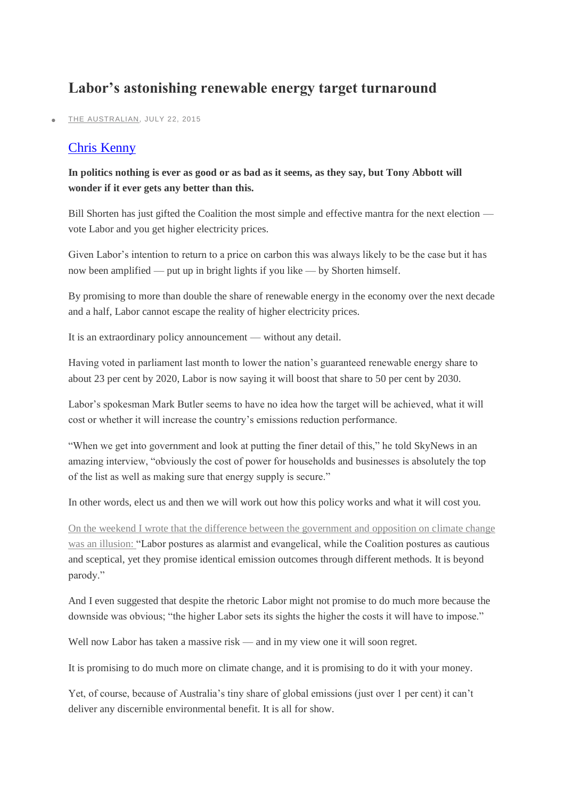## **Labor's astonishing renewable energy target turnaround**

[THE AUSTRALIAN,](http://www.theaustralian.com.au/) JULY 22, 2015

## [Chris Kenny](http://www.theaustralian.com.au/author/Chris+Kenny)

## **In politics nothing is ever as good or as bad as it seems, as they say, but Tony Abbott will wonder if it ever gets any better than this.**

Bill Shorten has just gifted the Coalition the most simple and effective mantra for the next election vote Labor and you get higher electricity prices.

Given Labor's intention to return to a price on carbon this was always likely to be the case but it has now been amplified — put up in bright lights if you like — by Shorten himself.

By promising to more than double the share of renewable energy in the economy over the next decade and a half, Labor cannot escape the reality of higher electricity prices.

It is an extraordinary policy announcement — without any detail.

Having voted in parliament last month to lower the nation's guaranteed renewable energy share to about 23 per cent by 2020, Labor is now saying it will boost that share to 50 per cent by 2030.

Labor's spokesman Mark Butler seems to have no idea how the target will be achieved, what it will cost or whether it will increase the country's emissions reduction performance.

"When we get into government and look at putting the finer detail of this," he told SkyNews in an amazing interview, "obviously the cost of power for households and businesses is absolutely the top of the list as well as making sure that energy supply is secure."

In other words, elect us and then we will work out how this policy works and what it will cost you.

[On the weekend I wrote that the difference between the government and opposition on climate change](http://www.theaustralian.com.au/opinion/columnists/why-australia-is-trapped-in-a-lot-of-hot-air/story-fn8qlm5e-1227446324632)  [was an illusion:](http://www.theaustralian.com.au/opinion/columnists/why-australia-is-trapped-in-a-lot-of-hot-air/story-fn8qlm5e-1227446324632) "Labor postures as alarmist and evangelical, while the Coalition postures as cautious and sceptical, yet they promise identical emission outcomes through different methods. It is beyond parody."

And I even suggested that despite the rhetoric Labor might not promise to do much more because the downside was obvious; "the higher Labor sets its sights the higher the costs it will have to impose."

Well now Labor has taken a massive risk — and in my view one it will soon regret.

It is promising to do much more on climate change, and it is promising to do it with your money.

Yet, of course, because of Australia's tiny share of global emissions (just over 1 per cent) it can't deliver any discernible environmental benefit. It is all for show.